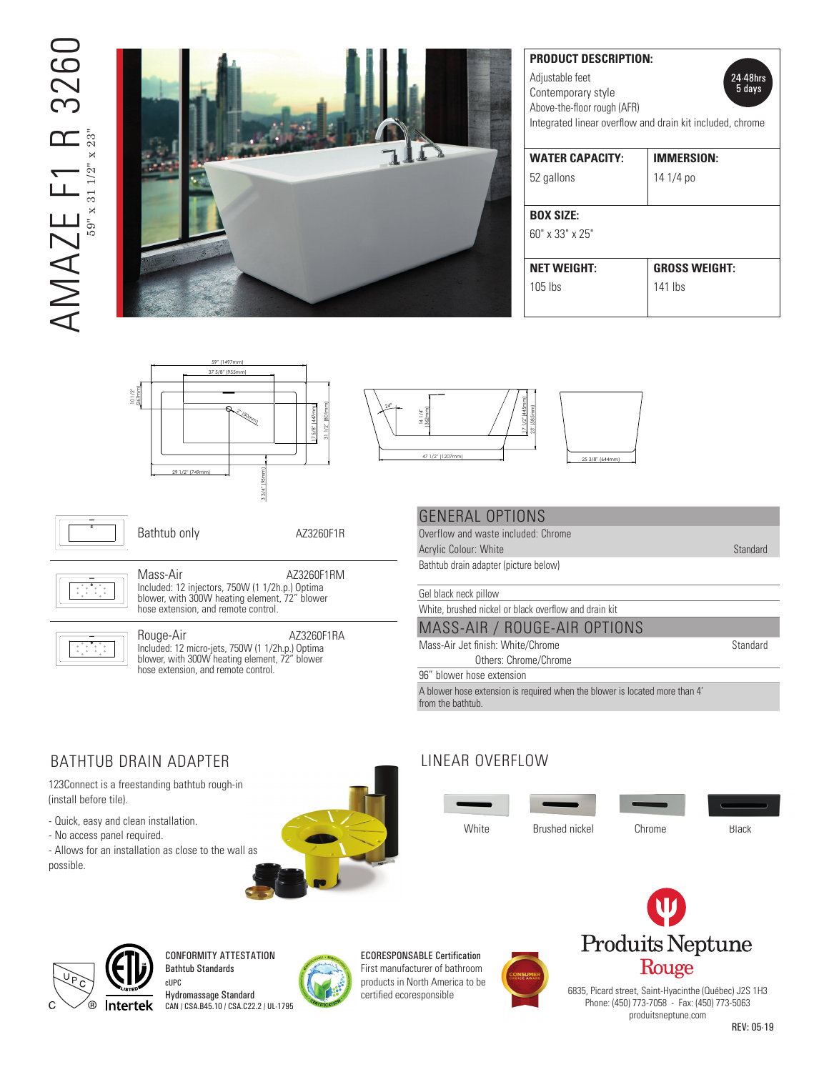# AMAZE F1 R 3260 326C  $AMATE \begin{picture}(40,40) \put(0,0){\vector(0,1){150}} \put(15,0){\vector(0,1){150}} \put(15,0){\vector(0,1){150}} \put(15,0){\vector(0,1){150}} \put(15,0){\vector(0,1){150}} \put(15,0){\vector(0,1){150}} \put(15,0){\vector(0,1){150}} \put(15,0){\vector(0,1){150}} \put(15,0){\vector(0,1){150}} \put(15,0){\vector(0,1){150}} \put(15,0){\vector(0,1){150$ 59" x 31 1/2" x 23"



| <b>PRODUCT DESCRIPTION:</b><br>Adjustable feet<br>Contemporary style<br>Above-the-floor rough (AFR) | 24 48hrs<br>5 days   |
|-----------------------------------------------------------------------------------------------------|----------------------|
| Integrated linear overflow and drain kit included, chrome                                           |                      |
| <b>WATER CAPACITY:</b>                                                                              | <b>IMMERSION:</b>    |
| 52 gallons                                                                                          | 14 1/4 po            |
| <b>BOX SIZE:</b>                                                                                    |                      |
| $60''$ x 33" x 25"                                                                                  |                      |
| <b>NET WEIGHT:</b>                                                                                  | <b>GROSS WEIGHT:</b> |
| $105$ lbs                                                                                           | 141 lhs              |







Bathtub only **AZ3260F1R** 

).<br>-<br>-\*All dimensions are approximate and subject to change without notice

produitsneptune.com/rouge

produitsneptune.com/rouge



Included: 12 injectors, 750W (1 1/2h.p.) Optima <sup>2</sup> Mass-Air AZ3260F1RM blower, with 300W heating element, 72" blower hose extension, and remote control.



 $\overline{1}$  $\overline{a}$ 

 $\blacksquare$  hose extension, and remote control. Rouge-Air **AZ3260F1RA** Included: 12 micro-jets, 750W (1 1/2h.p.) Optima blower, with 300W heating element, 72" blower

#### GENERAL OPTIONS

Overflow and waste included: Chrome Acrylic Colour: White Standard and Standard Before beginning the installation guide beginning the installation guide beginning the installation guide beginning the installation guide beginning the installation guide beginn Bathtub drain adapter (picture below) \*All dimensions are approximate and subject to change without notice

Gel black neck pillow

White, brushed nickel or black overflow and drain kit

#### MASS-AIR / ROUGE-AIR OPTIONS

Mass-Air Jet finish: White/Chrome Standard Others: Chrome/Chrome

96" blower hose extension

A blower hose extension is required when the blower is located more than 4' from the bathtub.

### BATHTUB DRAIN ADAPTER

123Connect is a freestanding bathtub rough-in (install before tile).

- Quick, easy and clean installation.
- No access panel required.

- Allows for an installation as close to the wall as possible.



#### LINEAR OVERFLOW

White Brushed nickel Chrome Black



CONFORMITY ATTESTATION Bathtub Standards



ECORESPONSABLE Certification First manufacturer of bathroom products in North America to be certified ecoresponsible





6835, Picard street, Saint-Hyacinthe (Québec) J2S 1H3 Phone: (450) 773-7058 - Fax: (450) 773-5063 produitsneptune.com